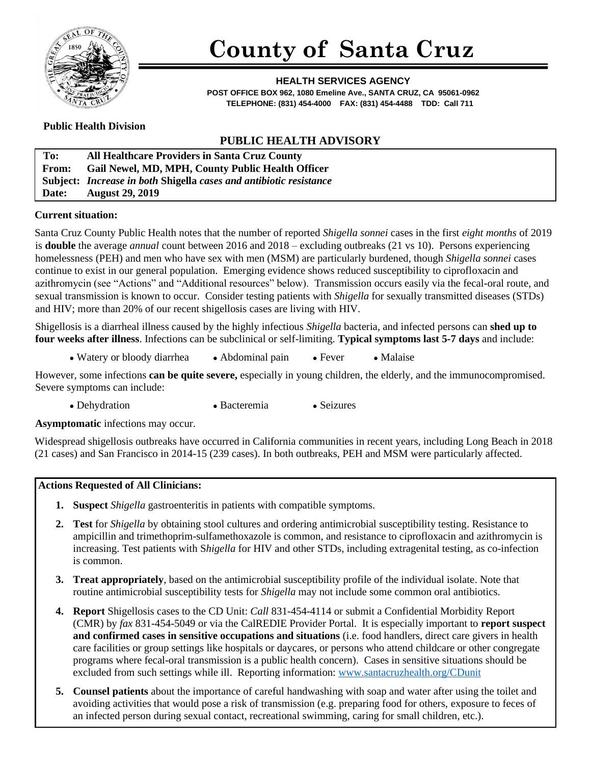

# **County of Santa Cruz**

**HEALTH SERVICES AGENCY POST OFFICE BOX 962, 1080 Emeline Ave., SANTA CRUZ, CA 95061-0962 TELEPHONE: (831) 454-4000 FAX: (831) 454-4488 TDD: Call 711**

## **Public Health Division**

# **PUBLIC HEALTH ADVISORY**

| To:          | All Healthcare Providers in Santa Cruz County                      |
|--------------|--------------------------------------------------------------------|
| <b>From:</b> | Gail Newel, MD, MPH, County Public Health Officer                  |
|              | Subject: Increase in both Shigella cases and antibiotic resistance |
| <b>Date:</b> | <b>August 29, 2019</b>                                             |

## **Current situation:**

Santa Cruz County Public Health notes that the number of reported *Shigella sonnei* cases in the first *eight months* of 2019 is **double** the average *annual* count between 2016 and 2018 – excluding outbreaks (21 vs 10). Persons experiencing homelessness (PEH) and men who have sex with men (MSM) are particularly burdened, though *Shigella sonnei* cases continue to exist in our general population. Emerging evidence shows reduced susceptibility to ciprofloxacin and azithromycin (see "Actions" and "Additional resources" below). Transmission occurs easily via the fecal-oral route, and sexual transmission is known to occur. Consider testing patients with *Shigella* for sexually transmitted diseases (STDs) and HIV; more than 20% of our recent shigellosis cases are living with HIV.

Shigellosis is a diarrheal illness caused by the highly infectious *Shigella* bacteria, and infected persons can **shed up to four weeks after illness**. Infections can be subclinical or self-limiting. **Typical symptoms last 5-7 days** and include:

• Watery or bloody diarrhea • Abdominal pain • Fever • Malaise

However, some infections **can be quite severe,** especially in young children, the elderly, and the immunocompromised. Severe symptoms can include:

• Dehydration • Bacteremia • Seizures

**Asymptomatic** infections may occur.

Widespread shigellosis outbreaks have occurred in California communities in recent years, including Long Beach in 2018 (21 cases) and San Francisco in 2014-15 (239 cases). In both outbreaks, PEH and MSM were particularly affected.

#### **Actions Requested of All Clinicians:**

- **1. Suspect** *Shigella* gastroenteritis in patients with compatible symptoms.
- **2. Test** for *Shigella* by obtaining stool cultures and ordering antimicrobial susceptibility testing. Resistance to ampicillin and trimethoprim-sulfamethoxazole is common, and resistance to ciprofloxacin and azithromycin is increasing. Test patients with S*higella* for HIV and other STDs, including extragenital testing, as co-infection is common.
- **3. Treat appropriately**, based on the antimicrobial susceptibility profile of the individual isolate. Note that routine antimicrobial susceptibility tests for *Shigella* may not include some common oral antibiotics.
- **4. Report** Shigellosis cases to the CD Unit: *Call* 831-454-4114 or submit a Confidential Morbidity Report (CMR) by *fax* 831-454-5049 or via the CalREDIE Provider Portal. It is especially important to **report suspect and confirmed cases in sensitive occupations and situations** (i.e. food handlers, direct care givers in health care facilities or group settings like hospitals or daycares, or persons who attend childcare or other congregate programs where fecal-oral transmission is a public health concern). Cases in sensitive situations should be excluded from such settings while ill. Reporting information: [www.santacruzhealth.org/CDunit](http://www.santacruzhealth.org/CDunit)
- **5. Counsel patients** about the importance of careful handwashing with soap and water after using the toilet and avoiding activities that would pose a risk of transmission (e.g. preparing food for others, exposure to feces of an infected person during sexual contact, recreational swimming, caring for small children, etc.).